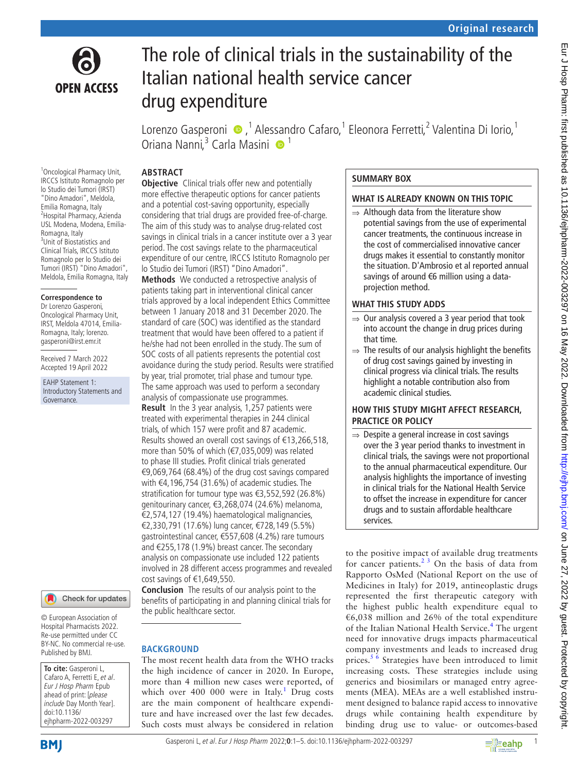

# The role of clinical trials in the sustainability of the Italian national health service cancer drug expenditure

Lorenzo Gasperoni <sup>®</sup>,<sup>1</sup> Alessandro Cafaro,<sup>1</sup> Eleonora Ferretti,<sup>2</sup> Valentina Di Iorio,<sup>1</sup> Oriana Nanni,<sup>3</sup> Carla Masini <sup>1</sup>

# **ABSTRACT**

<sup>1</sup> Oncological Pharmacy Unit, IRCCS Istituto Romagnolo per lo Studio dei Tumori (IRST) "Dino Amadori", Meldola, Emilia Romagna, Italy 2 Hospital Pharmacy, Azienda USL Modena, Modena, Emilia-Romagna, Italy <sup>3</sup> <sup>3</sup>Unit of Biostatistics and Clinical Trials, IRCCS Istituto Romagnolo per lo Studio dei Tumori (IRST) "Dino Amadori", Meldola, Emilia Romagna, Italy

#### **Correspondence to**

Dr Lorenzo Gasperoni, Oncological Pharmacy Unit, IRST, Meldola 47014, Emilia-Romagna, Italy; lorenzo. gasperoni@irst.emr.it

Received 7 March 2022 Accepted 19 April 2022

EAHP Statement 1: Introductory Statements and Governance.



© European Association of Hospital Pharmacists 2022. Re-use permitted under CC BY-NC. No commercial re-use. Published by BMJ.

**To cite:** Gasperoni L, Cafaro A, Ferretti E, et al. Eur J Hosp Pharm Epub ahead of print: [please include Day Month Year]. doi:10.1136/ ejhpharm-2022-003297

**BMI** 

**Objective** Clinical trials offer new and potentially more effective therapeutic options for cancer patients and a potential cost-saving opportunity, especially considering that trial drugs are provided free-of-charge. The aim of this study was to analyse drug-related cost savings in clinical trials in a cancer institute over a 3 year period. The cost savings relate to the pharmaceutical expenditure of our centre, IRCCS Istituto Romagnolo per lo Studio dei Tumori (IRST) "Dino Amadori".

**Methods** We conducted a retrospective analysis of patients taking part in interventional clinical cancer trials approved by a local independent Ethics Committee between 1 January 2018 and 31 December 2020. The standard of care (SOC) was identified as the standard treatment that would have been offered to a patient if he/she had not been enrolled in the study. The sum of SOC costs of all patients represents the potential cost avoidance during the study period. Results were stratified by year, trial promoter, trial phase and tumour type. The same approach was used to perform a secondary analysis of compassionate use programmes.

**Result** In the 3 year analysis, 1,257 patients were treated with experimental therapies in 244 clinical trials, of which 157 were profit and 87 academic. Results showed an overall cost savings of €13,266,518, more than 50% of which (€7,035,009) was related to phase III studies. Profit clinical trials generated €9,069,764 (68.4%) of the drug cost savings compared with €4,196,754 (31.6%) of academic studies. The stratification for tumour type was €3,552,592 (26.8%) genitourinary cancer, €3,268,074 (24.6%) melanoma, €2,574,127 (19.4%) haematological malignancies, €2,330,791 (17.6%) lung cancer, €728,149 (5.5%) gastrointestinal cancer, €557,608 (4.2%) rare tumours and €255,178 (1.9%) breast cancer. The secondary analysis on compassionate use included 122 patients involved in 28 different access programmes and revealed cost savings of €1,649,550.

**Conclusion** The results of our analysis point to the benefits of participating in and planning clinical trials for the public healthcare sector.

# **BACKGROUND**

The most recent health data from the WHO tracks the high incidence of cancer in 2020. In Europe, more than 4 million new cases were reported, of which over  $400\,000$  were in Italy.<sup>[1](#page-3-0)</sup> Drug costs are the main component of healthcare expenditure and have increased over the last few decades. Such costs must always be considered in relation

### **SUMMARY BOX**

### **WHAT IS ALREADY KNOWN ON THIS TOPIC**

⇒ Although data from the literature show potential savings from the use of experimental cancer treatments, the continuous increase in the cost of commercialised innovative cancer drugs makes it essential to constantly monitor the situation. D'Ambrosio et al reported annual savings of around €6 million using a dataprojection method.

### **WHAT THIS STUDY ADDS**

- $\Rightarrow$  Our analysis covered a 3 year period that took into account the change in drug prices during that time.
- $\Rightarrow$  The results of our analysis highlight the benefits of drug cost savings gained by investing in clinical progress via clinical trials. The results highlight a notable contribution also from academic clinical studies.

### **HOW THIS STUDY MIGHT AFFECT RESEARCH, PRACTICE OR POLICY**

 $\Rightarrow$  Despite a general increase in cost savings over the 3 year period thanks to investment in clinical trials, the savings were not proportional to the annual pharmaceutical expenditure. Our analysis highlights the importance of investing in clinical trials for the National Health Service to offset the increase in expenditure for cancer drugs and to sustain affordable healthcare services.

to the positive impact of available drug treatments for cancer patients. $2^3$  On the basis of data from Rapporto OsMed (National Report on the use of Medicines in Italy) for 2019, antineoplastic drugs represented the first therapeutic category with the highest public health expenditure equal to €6,038 million and 26% of the total expenditure of the Italian National Health Service.<sup>[4](#page-3-2)</sup> The urgent need for innovative drugs impacts pharmaceutical company investments and leads to increased drug prices.<sup>[5 6](#page-3-3)</sup> Strategies have been introduced to limit increasing costs. These strategies include using generics and biosimilars or managed entry agreements (MEA). MEAs are a well established instrument designed to balance rapid access to innovative drugs while containing health expenditure by binding drug use to value- or outcomes-based

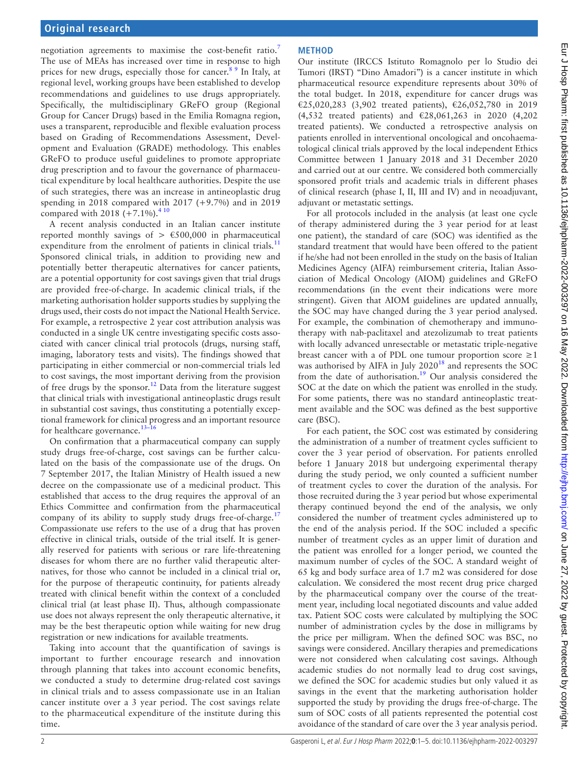negotiation agreements to maximise the cost-benefit ratio.<sup>[7](#page-3-4)</sup> The use of MEAs has increased over time in response to high prices for new drugs, especially those for cancer.<sup>89</sup> In Italy, at regional level, working groups have been established to develop recommendations and guidelines to use drugs appropriately. Specifically, the multidisciplinary GReFO group (Regional Group for Cancer Drugs) based in the Emilia Romagna region, uses a transparent, reproducible and flexible evaluation process based on Grading of Recommendations Assessment, Development and Evaluation (GRADE) methodology. This enables GReFO to produce useful guidelines to promote appropriate drug prescription and to favour the governance of pharmaceutical expenditure by local healthcare authorities. Despite the use of such strategies, there was an increase in antineoplastic drug spending in 2018 compared with 2017 (+9.7%) and in 2019 compared with 2018  $(+7.1\%)$ .<sup>410</sup>

A recent analysis conducted in an Italian cancer institute reported monthly savings of  $> \text{\textsterling}500,000$  in pharmaceutical expenditure from the enrolment of patients in clinical trials.<sup>[11](#page-4-0)</sup> Sponsored clinical trials, in addition to providing new and potentially better therapeutic alternatives for cancer patients, are a potential opportunity for cost savings given that trial drugs are provided free-of-charge. In academic clinical trials, if the marketing authorisation holder supports studies by supplying the drugs used, their costs do not impact the National Health Service. For example, a retrospective 2 year cost attribution analysis was conducted in a single UK centre investigating specific costs associated with cancer clinical trial protocols (drugs, nursing staff, imaging, laboratory tests and visits). The findings showed that participating in either commercial or non-commercial trials led to cost savings, the most important deriving from the provision of free drugs by the sponsor.<sup>[12](#page-4-1)</sup> Data from the literature suggest that clinical trials with investigational antineoplastic drugs result in substantial cost savings, thus constituting a potentially exceptional framework for clinical progress and an important resource for healthcare governance. $13-16$ 

On confirmation that a pharmaceutical company can supply study drugs free-of-charge, cost savings can be further calculated on the basis of the compassionate use of the drugs. On 7 September 2017, the Italian Ministry of Health issued a new decree on the compassionate use of a medicinal product. This established that access to the drug requires the approval of an Ethics Committee and confirmation from the pharmaceutical company of its ability to supply study drugs free-of-charge.<sup>[17](#page-4-3)</sup> Compassionate use refers to the use of a drug that has proven effective in clinical trials, outside of the trial itself. It is generally reserved for patients with serious or rare life-threatening diseases for whom there are no further valid therapeutic alternatives, for those who cannot be included in a clinical trial or, for the purpose of therapeutic continuity, for patients already treated with clinical benefit within the context of a concluded clinical trial (at least phase II). Thus, although compassionate use does not always represent the only therapeutic alternative, it may be the best therapeutic option while waiting for new drug registration or new indications for available treatments.

Taking into account that the quantification of savings is important to further encourage research and innovation through planning that takes into account economic benefits, we conducted a study to determine drug-related cost savings in clinical trials and to assess compassionate use in an Italian cancer institute over a 3 year period. The cost savings relate to the pharmaceutical expenditure of the institute during this time.

# **METHOD**

Our institute (IRCCS Istituto Romagnolo per lo Studio dei Tumori (IRST) "Dino Amadori") is a cancer institute in which pharmaceutical resource expenditure represents about 30% of the total budget. In 2018, expenditure for cancer drugs was €25,020,283 (3,902 treated patients), €26,052,780 in 2019 (4,532 treated patients) and €28,061,263 in 2020 (4,202 treated patients). We conducted a retrospective analysis on patients enrolled in interventional oncological and oncohaematological clinical trials approved by the local independent Ethics Committee between 1 January 2018 and 31 December 2020 and carried out at our centre. We considered both commercially sponsored profit trials and academic trials in different phases of clinical research (phase I, II, III and IV) and in neoadjuvant, adjuvant or metastatic settings.

For all protocols included in the analysis (at least one cycle of therapy administered during the 3 year period for at least one patient), the standard of care (SOC) was identified as the standard treatment that would have been offered to the patient if he/she had not been enrolled in the study on the basis of Italian Medicines Agency (AIFA) reimbursement criteria, Italian Association of Medical Oncology (AIOM) guidelines and GReFO recommendations (in the event their indications were more stringent). Given that AIOM guidelines are updated annually, the SOC may have changed during the 3 year period analysed. For example, the combination of chemotherapy and immunotherapy with nab-paclitaxel and atezolizumab to treat patients with locally advanced unresectable or metastatic triple-negative breast cancer with a of PDL one tumour proportion score  $\geq 1$ was authorised by AIFA in July 2020<sup>18</sup> and represents the SOC from the date of authorisation.<sup>[19](#page-4-5)</sup> Our analysis considered the SOC at the date on which the patient was enrolled in the study. For some patients, there was no standard antineoplastic treatment available and the SOC was defined as the best supportive care (BSC).

For each patient, the SOC cost was estimated by considering the administration of a number of treatment cycles sufficient to cover the 3 year period of observation. For patients enrolled before 1 January 2018 but undergoing experimental therapy during the study period, we only counted a sufficient number of treatment cycles to cover the duration of the analysis. For those recruited during the 3 year period but whose experimental therapy continued beyond the end of the analysis, we only considered the number of treatment cycles administered up to the end of the analysis period. If the SOC included a specific number of treatment cycles as an upper limit of duration and the patient was enrolled for a longer period, we counted the maximum number of cycles of the SOC. A standard weight of 65 kg and body surface area of 1.7 m2 was considered for dose calculation. We considered the most recent drug price charged by the pharmaceutical company over the course of the treatment year, including local negotiated discounts and value added tax. Patient SOC costs were calculated by multiplying the SOC number of administration cycles by the dose in milligrams by the price per milligram. When the defined SOC was BSC, no savings were considered. Ancillary therapies and premedications were not considered when calculating cost savings. Although academic studies do not normally lead to drug cost savings, we defined the SOC for academic studies but only valued it as savings in the event that the marketing authorisation holder supported the study by providing the drugs free-of-charge. The sum of SOC costs of all patients represented the potential cost avoidance of the standard of care over the 3 year analysis period.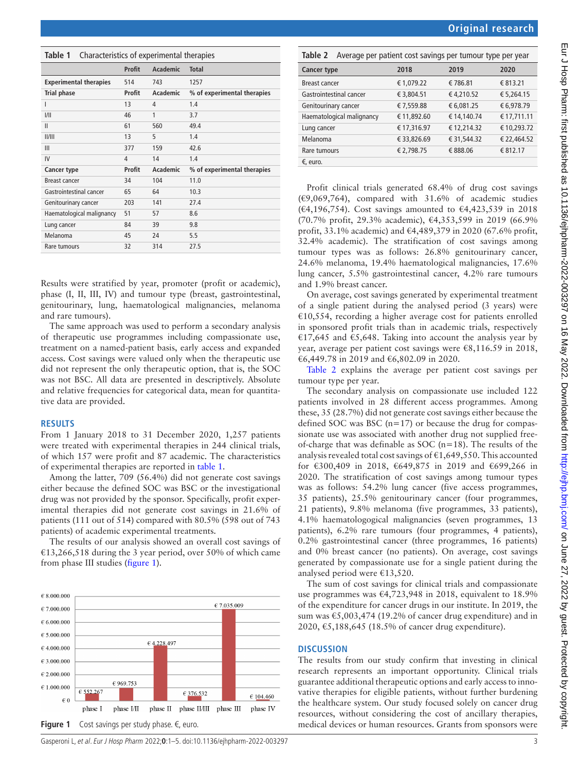| <b>Original research</b> |
|--------------------------|
|                          |
|                          |

<span id="page-2-2"></span>

| Cancer type               | 2018        | 2019        | 2020        |
|---------------------------|-------------|-------------|-------------|
| Breast cancer             | €1,079.22   | € 786.81    | € 813.21    |
| Gastrointestinal cancer   | € 3,804.51  | €4,210.52   | € 5,264.15  |
| Genitourinary cancer      | € 7,559.88  | € 6,081.25  | € 6,978.79  |
| Haematological malignancy | € 11,892.60 | € 14,140.74 | € 17,711.11 |
| Lung cancer               | € 17,316.97 | €12,214.32  | €10,293.72  |
| Melanoma                  | € 33,826.69 | € 31,544.32 | € 22,464.52 |
| Rare tumours              | € 2,798.75  | € 888.06    | € 812.17    |
| €, euro.                  |             |             |             |

Profit clinical trials generated 68.4% of drug cost savings  $(\text{\textsterling}9,069,764)$ , compared with 31.6% of academic studies (€4,196,754). Cost savings amounted to €4,423,539 in 2018 (70.7% profit, 29.3% academic), €4,353,599 in 2019 (66.9% profit, 33.1% academic) and €4,489,379 in 2020 (67.6% profit, 32.4% academic). The stratification of cost savings among tumour types was as follows: 26.8% genitourinary cancer, 24.6% melanoma, 19.4% haematological malignancies, 17.6% lung cancer, 5.5% gastrointestinal cancer, 4.2% rare tumours and 1.9% breast cancer.

On average, cost savings generated by experimental treatment of a single patient during the analysed period (3 years) were  $€10,554$ , recording a higher average cost for patients enrolled in sponsored profit trials than in academic trials, respectively €17,645 and €5,648. Taking into account the analysis year by year, average per patient cost savings were €8,116.59 in 2018, €6,449.78 in 2019 and €6,802.09 in 2020.

[Table](#page-2-2) 2 explains the average per patient cost savings per tumour type per year.

The secondary analysis on compassionate use included 122 patients involved in 28 different access programmes. Among these, 35 (28.7%) did not generate cost savings either because the defined SOC was BSC  $(n=17)$  or because the drug for compassionate use was associated with another drug not supplied freeof-charge that was definable as SOC ( $n=18$ ). The results of the analysis revealed total cost savings of  $\epsilon$ 1,649,550. This accounted for €300,409 in 2018, €649,875 in 2019 and €699,266 in 2020. The stratification of cost savings among tumour types was as follows: 54.2% lung cancer (five access programmes, 35 patients), 25.5% genitourinary cancer (four programmes, 21 patients), 9.8% melanoma (five programmes, 33 patients), 4.1% haematologogical malignancies (seven programmes, 13 patients), 6.2% rare tumours (four programmes, 4 patients), 0.2% gastrointestinal cancer (three programmes, 16 patients) and 0% breast cancer (no patients). On average, cost savings generated by compassionate use for a single patient during the analysed period were €13,520.

The sum of cost savings for clinical trials and compassionate use programmes was €4,723,948 in 2018, equivalent to 18.9% of the expenditure for cancer drugs in our institute. In 2019, the sum was €5,003,474 (19.2% of cancer drug expenditure) and in 2020, €5,188,645 (18.5% of cancer drug expenditure).

#### **DISCUSSION**

The results from our study confirm that investing in clinical research represents an important opportunity. Clinical trials guarantee additional therapeutic options and early access to innovative therapies for eligible patients, without further burdening the healthcare system. Our study focused solely on cancer drug resources, without considering the cost of ancillary therapies, medical devices or human resources. Grants from sponsors were

<span id="page-2-0"></span>

| Characteristics of experimental therapies<br>Table 1 |        |          |                             |  |
|------------------------------------------------------|--------|----------|-----------------------------|--|
|                                                      | Profit | Academic | <b>Total</b>                |  |
| <b>Experimental therapies</b>                        | 514    | 743      | 1257                        |  |
| <b>Trial phase</b>                                   | Profit | Academic | % of experimental therapies |  |
| L                                                    | 13     | 4        | 1.4                         |  |
| 1/11                                                 | 46     | 1        | 3.7                         |  |
| $\mathbf{II}$                                        | 61     | 560      | 49.4                        |  |
| II/III                                               | 13     | 5        | 1.4                         |  |
| $\mathbf{III}$                                       | 377    | 159      | 42.6                        |  |
| IV                                                   | 4      | 14       | 1.4                         |  |
| Cancer type                                          | Profit | Academic | % of experimental therapies |  |
| <b>Breast cancer</b>                                 | 34     | 104      | 11.0                        |  |
| Gastrointestinal cancer                              | 65     | 64       | 10.3                        |  |
| Genitourinary cancer                                 | 203    | 141      | 27.4                        |  |
| Haematological malignancy                            | 51     | 57       | 8.6                         |  |
| Lung cancer                                          | 84     | 39       | 9.8                         |  |
| Melanoma                                             | 45     | 24       | 5.5                         |  |
| Rare tumours                                         | 32     | 314      | 27.5                        |  |

Results were stratified by year, promoter (profit or academic), phase (I, II, III, IV) and tumour type (breast, gastrointestinal, genitourinary, lung, haematological malignancies, melanoma and rare tumours).

The same approach was used to perform a secondary analysis of therapeutic use programmes including compassionate use, treatment on a named-patient basis, early access and expanded access. Cost savings were valued only when the therapeutic use did not represent the only therapeutic option, that is, the SOC was not BSC. All data are presented in descriptively. Absolute and relative frequencies for categorical data, mean for quantitative data are provided.

#### **RESULTS**

From 1 January 2018 to 31 December 2020, 1,257 patients were treated with experimental therapies in 244 clinical trials, of which 157 were profit and 87 academic. The characteristics of experimental therapies are reported in [table](#page-2-0) 1.

Among the latter, 709 (56.4%) did not generate cost savings either because the defined SOC was BSC or the investigational drug was not provided by the sponsor. Specifically, profit experimental therapies did not generate cost savings in 21.6% of patients (111 out of 514) compared with 80.5% (598 out of 743 patients) of academic experimental treatments.

The results of our analysis showed an overall cost savings of €13,266,518 during the 3 year period, over 50% of which came from phase III studies ([figure](#page-2-1) 1).

<span id="page-2-1"></span>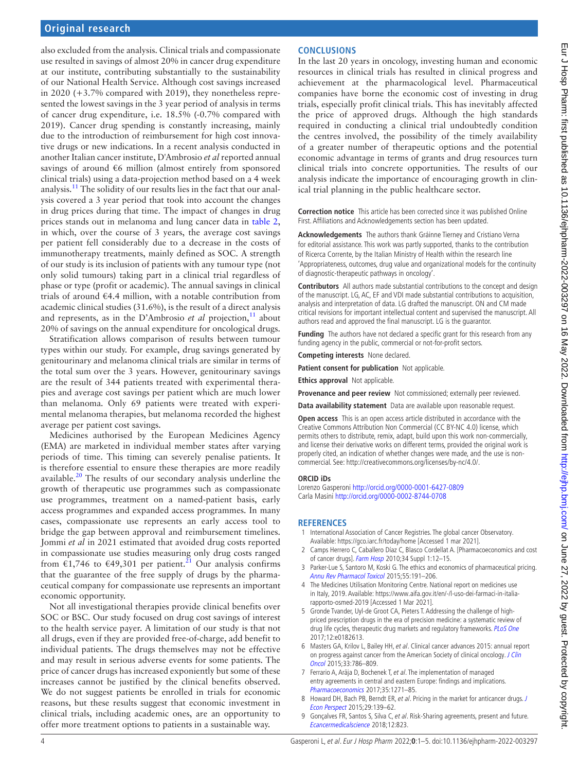also excluded from the analysis. Clinical trials and compassionate use resulted in savings of almost 20% in cancer drug expenditure at our institute, contributing substantially to the sustainability of our National Health Service. Although cost savings increased in 2020 (+3.7% compared with 2019), they nonetheless represented the lowest savings in the 3 year period of analysis in terms of cancer drug expenditure, i.e. 18.5% (-0.7% compared with 2019). Cancer drug spending is constantly increasing, mainly due to the introduction of reimbursement for high cost innovative drugs or new indications. In a recent analysis conducted in another Italian cancer institute, D'Ambrosio *et al* reported annual savings of around €6 million (almost entirely from sponsored clinical trials) using a data-projection method based on a 4 week analysis[.11](#page-4-0) The solidity of our results lies in the fact that our analysis covered a 3 year period that took into account the changes in drug prices during that time. The impact of changes in drug prices stands out in melanoma and lung cancer data in [table](#page-2-2) 2, in which, over the course of 3 years, the average cost savings per patient fell considerably due to a decrease in the costs of immunotherapy treatments, mainly defined as SOC. A strength of our study is its inclusion of patients with any tumour type (not only solid tumours) taking part in a clinical trial regardless of phase or type (profit or academic). The annual savings in clinical trials of around €4.4 million, with a notable contribution from academic clinical studies (31.6%), is the result of a direct analysis and represents, as in the D'Ambrosio *et al* projection,  $\frac{11}{11}$  $\frac{11}{11}$  $\frac{11}{11}$  about 20% of savings on the annual expenditure for oncological drugs.

Stratification allows comparison of results between tumour types within our study. For example, drug savings generated by genitourinary and melanoma clinical trials are similar in terms of the total sum over the 3 years. However, genitourinary savings are the result of 344 patients treated with experimental therapies and average cost savings per patient which are much lower than melanoma. Only 69 patients were treated with experimental melanoma therapies, but melanoma recorded the highest average per patient cost savings.

Medicines authorised by the European Medicines Agency (EMA) are marketed in individual member states after varying periods of time. This timing can severely penalise patients. It is therefore essential to ensure these therapies are more readily available.[20](#page-4-6) The results of our secondary analysis underline the growth of therapeutic use programmes such as compassionate use programmes, treatment on a named-patient basis, early access programmes and expanded access programmes. In many cases, compassionate use represents an early access tool to bridge the gap between approval and reimbursement timelines. Jommi *et al* in 2021 estimated that avoided drug costs reported in compassionate use studies measuring only drug costs ranged from  $\epsilon$ 1,746 to  $\epsilon$ 49,301 per patient.<sup>21</sup> Our analysis confirms that the guarantee of the free supply of drugs by the pharmaceutical company for compassionate use represents an important economic opportunity.

Not all investigational therapies provide clinical benefits over SOC or BSC. Our study focused on drug cost savings of interest to the health service payer. A limitation of our study is that not all drugs, even if they are provided free-of-charge, add benefit to individual patients. The drugs themselves may not be effective and may result in serious adverse events for some patients. The price of cancer drugs has increased exponiently but some of these increases cannot be justified by the clinical benefits observed. We do not suggest patients be enrolled in trials for economic reasons, but these results suggest that economic investment in clinical trials, including academic ones, are an opportunity to offer more treatment options to patients in a sustainable way.

# **CONCLUSIONS**

In the last 20 years in oncology, investing human and economic resources in clinical trials has resulted in clinical progress and achievement at the pharmacological level. Pharmaceutical companies have borne the economic cost of investing in drug trials, especially profit clinical trials. This has inevitably affected the price of approved drugs. Although the high standards required in conducting a clinical trial undoubtedly condition the centres involved, the possibility of the timely availability of a greater number of therapeutic options and the potential economic advantage in terms of grants and drug resources turn clinical trials into concrete opportunities. The results of our analysis indicate the importance of encouraging growth in clinical trial planning in the public healthcare sector.

**Correction notice** This article has been corrected since it was published Online First. Affiliations and Acknowledgements section has been updated.

**Acknowledgements** The authors thank Gráinne Tierney and Cristiano Verna for editorial assistance. This work was partly supported, thanks to the contribution of Ricerca Corrente, by the Italian Ministry of Health within the research line 'Appropriateness, outcomes, drug value and organizational models for the continuity of diagnostic-therapeutic pathways in oncology'.

**Contributors** All authors made substantial contributions to the concept and design of the manuscript. LG, AC, EF and VDI made substantial contributions to acquisition, analysis and interpretation of data. LG drafted the manuscript. ON and CM made critical revisions for important intellectual content and supervised the manuscript. All authors read and approved the final manuscript. LG is the guarantor.

**Funding** The authors have not declared a specific grant for this research from any funding agency in the public, commercial or not-for-profit sectors.

**Competing interests** None declared.

**Patient consent for publication** Not applicable.

**Ethics approval** Not applicable.

**Provenance and peer review** Not commissioned; externally peer reviewed.

**Data availability statement** Data are available upon reasonable request.

**Open access** This is an open access article distributed in accordance with the Creative Commons Attribution Non Commercial (CC BY-NC 4.0) license, which permits others to distribute, remix, adapt, build upon this work non-commercially, and license their derivative works on different terms, provided the original work is properly cited, an indication of whether changes were made, and the use is noncommercial. See:<http://creativecommons.org/licenses/by-nc/4.0/>.

#### **ORCID iDs**

Lorenzo Gasperoni <http://orcid.org/0000-0001-6427-0809> Carla Masini<http://orcid.org/0000-0002-8744-0708>

#### **REFERENCES**

- <span id="page-3-0"></span>1 International Association of Cancer Registries. The global cancer Observatory. Available:<https://gco.iarc.fr/today/home> [Accessed 1 mar 2021].
- <span id="page-3-1"></span>2 Camps Herrero C, Caballero Díaz C, Blasco Cordellat A. [Pharmacoeconomics and cost of cancer drugs]. [Farm Hosp](http://dx.doi.org/10.1016/S1130-6343(10)70003-9) 2010;34 Suppl 1:12-15.
- 3 Parker-Lue S, Santoro M, Koski G. The ethics and economics of pharmaceutical pricing. [Annu Rev Pharmacol Toxicol](http://dx.doi.org/10.1146/annurev-pharmtox-010814-124649) 2015;55:191–206.
- <span id="page-3-2"></span>4 The Medicines Utilisation Monitoring Centre. National report on medicines use in Italy, 2019. Available: [https://www.aifa.gov.it/en/-/l-uso-dei-farmaci-in-italia](https://www.aifa.gov.it/en/-/l-uso-dei-farmaci-in-italia-rapporto-osmed-2019)[rapporto-osmed-2019](https://www.aifa.gov.it/en/-/l-uso-dei-farmaci-in-italia-rapporto-osmed-2019) [Accessed 1 Mar 2021].
- <span id="page-3-3"></span>5 Gronde Tvander, Uyl-de Groot CA, Pieters T. Addressing the challenge of highpriced prescription drugs in the era of precision medicine: a systematic review of drug life cycles, therapeutic drug markets and regulatory frameworks. [PLoS One](http://dx.doi.org/10.1371/journal.pone.0182613) 2017;12:e0182613.
- 6 Masters GA, Krilov L, Bailey HH, et al. Clinical cancer advances 2015: annual report on progress against cancer from the American Society of clinical oncology. J Clin [Oncol](http://dx.doi.org/10.1200/JCO.2014.59.9746) 2015;33:786–809.
- <span id="page-3-4"></span>7 Ferrario A, Arāja D, Bochenek T, et al. The implementation of managed entry agreements in central and eastern Europe: findings and implications. [Pharmacoeconomics](http://dx.doi.org/10.1007/s40273-017-0559-4) 2017;35:1271–85.
- <span id="page-3-5"></span>8 Howard DH, Bach PB, Berndt ER, et al. Pricing in the market for anticancer drugs. J [Econ Perspect](http://dx.doi.org/10.1257/jep.29.1.139) 2015;29:139–62.
- 9 Gonçalves FR, Santos S, Silva C, et al. Risk-Sharing agreements, present and future. [Ecancermedicalscience](http://dx.doi.org/10.3332/ecancer.2018.823) 2018;12:823.